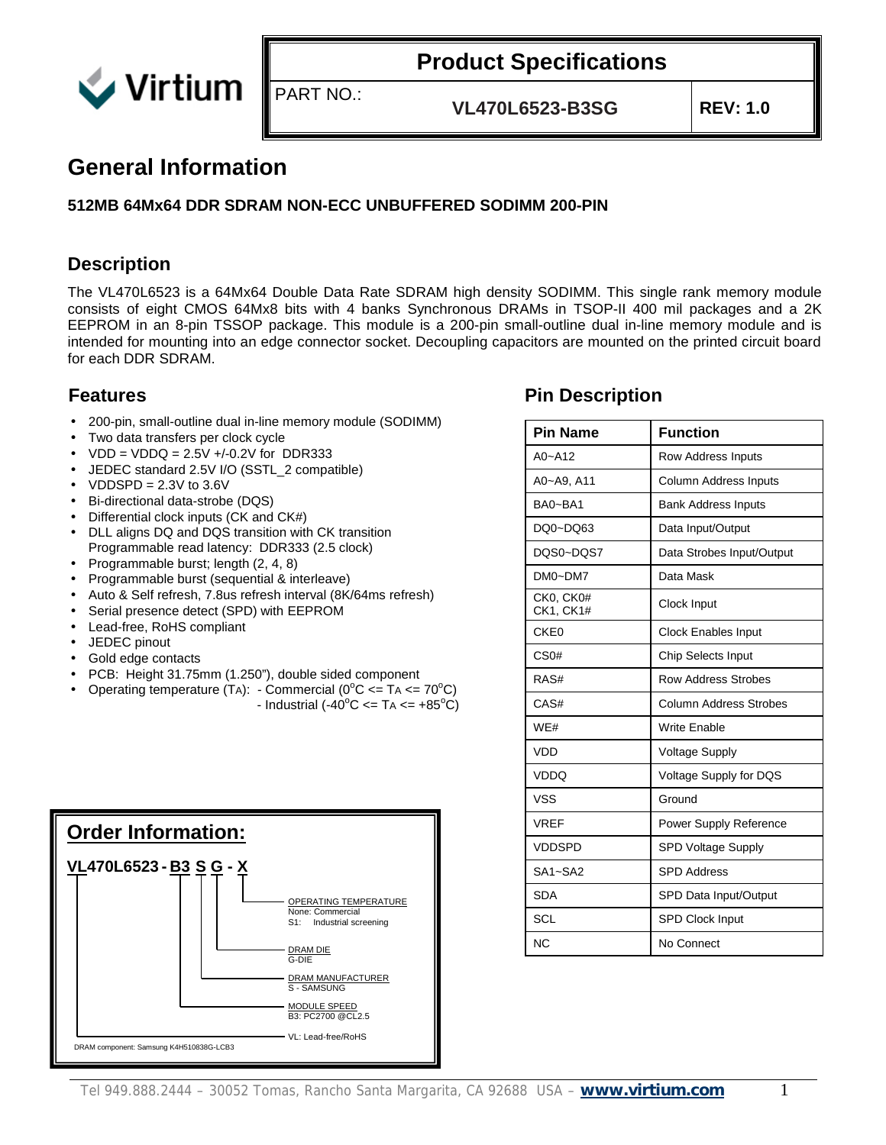

**VL470L6523-B3SG REV: 1.0**

#### **General Information**

#### **512MB 64Mx64 DDR SDRAM NON-ECC UNBUFFERED SODIMM 200-PIN**

PART NO.:

#### **Description**

The VL470L6523 is a 64Mx64 Double Data Rate SDRAM high density SODIMM. This single rank memory module consists of eight CMOS 64Mx8 bits with 4 banks Synchronous DRAMs in TSOP-II 400 mil packages and a 2K EEPROM in an 8-pin TSSOP package. This module is a 200-pin small-outline dual in-line memory module and is intended for mounting into an edge connector socket. Decoupling capacitors are mounted on the printed circuit board for each DDR SDRAM.

- 200-pin, small-outline dual in-line memory module (SODIMM)
- Two data transfers per clock cycle
- $VDD = VDDQ = 2.5V + (-0.2V)$  for DDR333
- JEDEC standard 2.5V I/O (SSTL\_2 compatible)
- $VDDSPD = 2.3V$  to  $3.6V$
- Bi-directional data-strobe (DQS)
- Differential clock inputs (CK and CK#)
- DLL aligns DQ and DQS transition with CK transition Programmable read latency: DDR333 (2.5 clock)
- Programmable burst; length (2, 4, 8)
- Programmable burst (sequential & interleave)
- Auto & Self refresh, 7.8us refresh interval (8K/64ms refresh)
- Serial presence detect (SPD) with EEPROM
- Lead-free, RoHS compliant
- JEDEC pinout
- Gold edge contacts
- PCB: Height 31.75mm (1.250"), double sided component
- Operating temperature (TA): Commercial ( $0^{\circ}$ C <= TA <=  $70^{\circ}$ C) - Industrial (-40<sup>o</sup>C <= TA <=  $+85^{\circ}$ C)



#### **Features Pin Description**

| <b>Pin Name</b>        | <b>Function</b>               |
|------------------------|-------------------------------|
| $A0 - A12$             | Row Address Inputs            |
| A0~A9, A11             | Column Address Inputs         |
| BA0~BA1                | <b>Bank Address Inputs</b>    |
| DQ0~DQ63               | Data Input/Output             |
| DOS0~DOS7              | Data Strobes Input/Output     |
| DM0~DM7                | Data Mask                     |
| CK0. CK0#<br>CK1, CK1# | Clock Input                   |
| CKE <sub>0</sub>       | <b>Clock Enables Input</b>    |
| CS <sub>0#</sub>       | Chip Selects Input            |
| RAS#                   | <b>Row Address Strobes</b>    |
| CAS#                   | <b>Column Address Strobes</b> |
| WE#                    | <b>Write Enable</b>           |
| <b>VDD</b>             | <b>Voltage Supply</b>         |
| <b>VDDQ</b>            | Voltage Supply for DQS        |
| <b>VSS</b>             | Ground                        |
| <b>VREF</b>            | <b>Power Supply Reference</b> |
| <b>VDDSPD</b>          | <b>SPD Voltage Supply</b>     |
| SA1~SA2                | <b>SPD Address</b>            |
| <b>SDA</b>             | SPD Data Input/Output         |
| SCL                    | <b>SPD Clock Input</b>        |
| <b>NC</b>              | No Connect                    |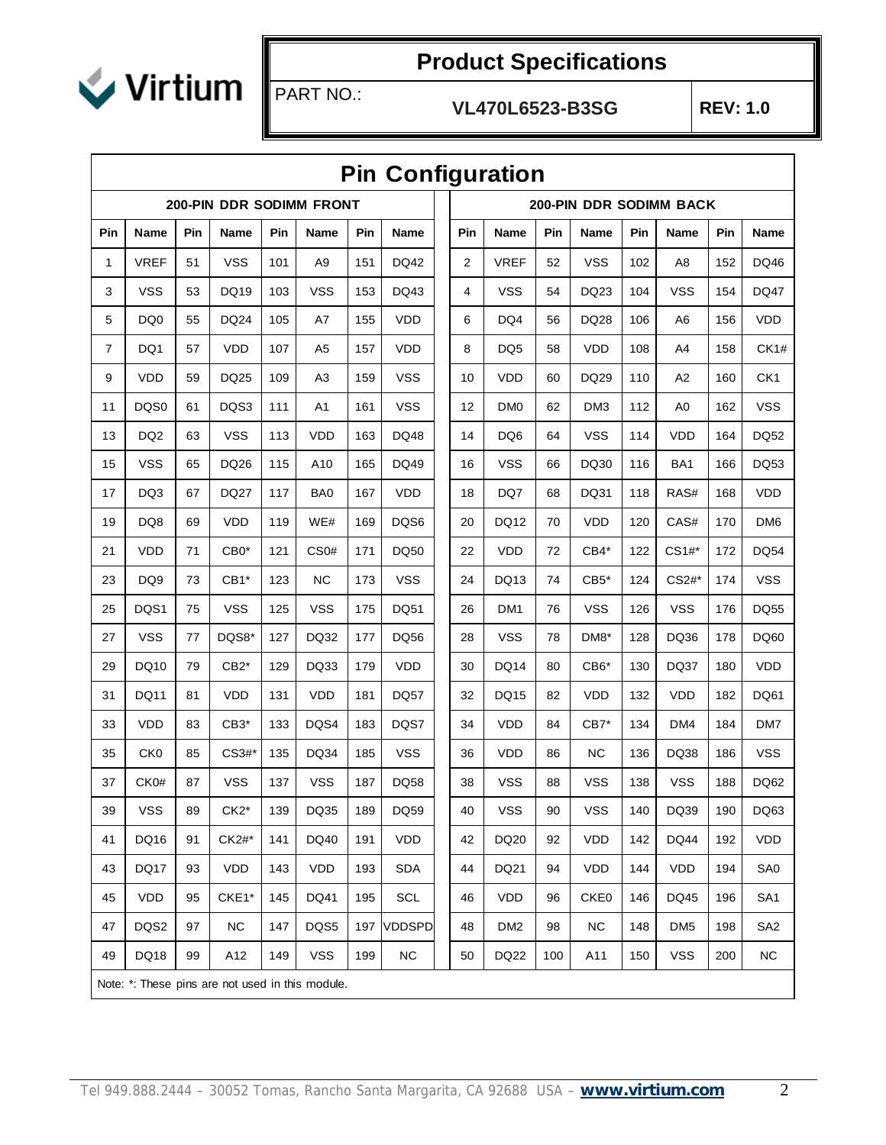

#### **VL470L6523-B3SG REV: 1.0**

|                | <b>Pin Configuration</b> |     |                                                  |     |                  |     |               |  |     |                 |     |             |     |                         |     |                 |
|----------------|--------------------------|-----|--------------------------------------------------|-----|------------------|-----|---------------|--|-----|-----------------|-----|-------------|-----|-------------------------|-----|-----------------|
|                |                          |     | 200-PIN DDR SODIMM FRONT                         |     |                  |     |               |  |     |                 |     |             |     | 200-PIN DDR SODIMM BACK |     |                 |
| Pin            | <b>Name</b>              | Pin | Name                                             | Pin | Name             | Pin | <b>Name</b>   |  | Pin | Name            | Pin | <b>Name</b> | Pin | <b>Name</b>             | Pin | <b>Name</b>     |
| 1              | <b>VREF</b>              | 51  | <b>VSS</b>                                       | 101 | A <sub>9</sub>   | 151 | DQ42          |  | 2   | <b>VREF</b>     | 52  | <b>VSS</b>  | 102 | A <sub>8</sub>          | 152 | DQ46            |
| 3              | <b>VSS</b>               | 53  | DQ19                                             | 103 | <b>VSS</b>       | 153 | DQ43          |  | 4   | <b>VSS</b>      | 54  | DQ23        | 104 | <b>VSS</b>              | 154 | <b>DQ47</b>     |
| 5              | DQ0                      | 55  | DQ24                                             | 105 | A7               | 155 | <b>VDD</b>    |  | 6   | DQ4             | 56  | DQ28        | 106 | A6                      | 156 | <b>VDD</b>      |
| $\overline{7}$ | DQ1                      | 57  | <b>VDD</b>                                       | 107 | A <sub>5</sub>   | 157 | <b>VDD</b>    |  | 8   | DQ <sub>5</sub> | 58  | <b>VDD</b>  | 108 | A4                      | 158 | CK1#            |
| 9              | <b>VDD</b>               | 59  | DQ25                                             | 109 | A3               | 159 | <b>VSS</b>    |  | 10  | <b>VDD</b>      | 60  | DQ29        | 110 | A2                      | 160 | CK <sub>1</sub> |
| 11             | DQS0                     | 61  | DQS3                                             | 111 | A <sub>1</sub>   | 161 | <b>VSS</b>    |  | 12  | DM <sub>0</sub> | 62  | DM3         | 112 | A0                      | 162 | <b>VSS</b>      |
| 13             | DQ <sub>2</sub>          | 63  | <b>VSS</b>                                       | 113 | <b>VDD</b>       | 163 | <b>DQ48</b>   |  | 14  | DQ6             | 64  | <b>VSS</b>  | 114 | <b>VDD</b>              | 164 | DQ52            |
| 15             | <b>VSS</b>               | 65  | DQ26                                             | 115 | A10              | 165 | DQ49          |  | 16  | <b>VSS</b>      | 66  | DQ30        | 116 | BA1                     | 166 | DQ53            |
| 17             | DQ3                      | 67  | <b>DQ27</b>                                      | 117 | BA0              | 167 | <b>VDD</b>    |  | 18  | DQ7             | 68  | DQ31        | 118 | RAS#                    | 168 | <b>VDD</b>      |
| 19             | DQ8                      | 69  | <b>VDD</b>                                       | 119 | WE#              | 169 | DQS6          |  | 20  | DQ12            | 70  | <b>VDD</b>  | 120 | CAS#                    | 170 | DM <sub>6</sub> |
| 21             | <b>VDD</b>               | 71  | $CB0*$                                           | 121 | CS <sub>0#</sub> | 171 | <b>DQ50</b>   |  | 22  | <b>VDD</b>      | 72  | $CB4*$      | 122 | CS1#*                   | 172 | <b>DQ54</b>     |
| 23             | DQ9                      | 73  | $CB1*$                                           | 123 | ΝC               | 173 | <b>VSS</b>    |  | 24  | DQ13            | 74  | $CB5*$      | 124 | CS2#*                   | 174 | <b>VSS</b>      |
| 25             | DQS1                     | 75  | <b>VSS</b>                                       | 125 | <b>VSS</b>       | 175 | <b>DQ51</b>   |  | 26  | DM1             | 76  | <b>VSS</b>  | 126 | <b>VSS</b>              | 176 | <b>DQ55</b>     |
| 27             | <b>VSS</b>               | 77  | DQS8*                                            | 127 | DQ32             | 177 | DQ56          |  | 28  | <b>VSS</b>      | 78  | DM8*        | 128 | DQ36                    | 178 | DQ60            |
| 29             | DQ10                     | 79  | $CB2*$                                           | 129 | DQ33             | 179 | <b>VDD</b>    |  | 30  | DQ14            | 80  | CB6*        | 130 | DQ37                    | 180 | <b>VDD</b>      |
| 31             | <b>DQ11</b>              | 81  | <b>VDD</b>                                       | 131 | <b>VDD</b>       | 181 | <b>DQ57</b>   |  | 32  | DQ15            | 82  | <b>VDD</b>  | 132 | <b>VDD</b>              | 182 | DQ61            |
| 33             | <b>VDD</b>               | 83  | $CB3*$                                           | 133 | DQS4             | 183 | DQS7          |  | 34  | <b>VDD</b>      | 84  | $CB7*$      | 134 | DM4                     | 184 | DM7             |
| 35             | CK <sub>0</sub>          | 85  | CS3#*                                            | 135 | DQ34             | 185 | <b>VSS</b>    |  | 36  | VDD             | 86  | <b>NC</b>   | 136 | DQ38                    | 186 | <b>VSS</b>      |
| 37             | CK0#                     | 87  | <b>VSS</b>                                       | 137 | <b>VSS</b>       | 187 | <b>DQ58</b>   |  | 38  | <b>VSS</b>      | 88  | <b>VSS</b>  | 138 | <b>VSS</b>              | 188 | DQ62            |
| 39             | <b>VSS</b>               | 89  | $CK2*$                                           | 139 | DQ35             | 189 | <b>DQ59</b>   |  | 40  | <b>VSS</b>      | 90  | <b>VSS</b>  | 140 | DQ39                    | 190 | DQ63            |
| 41             | DQ16                     | 91  | CK2#*                                            | 141 | DQ40             | 191 | VDD           |  | 42  | DQ20            | 92  | VDD         | 142 | <b>DQ44</b>             | 192 | <b>VDD</b>      |
| 43             | <b>DQ17</b>              | 93  | VDD                                              | 143 | <b>VDD</b>       | 193 | <b>SDA</b>    |  | 44  | DQ21            | 94  | <b>VDD</b>  | 144 | VDD                     | 194 | SA <sub>0</sub> |
| 45             | VDD                      | 95  | CKE1*                                            | 145 | DQ41             | 195 | SCL           |  | 46  | <b>VDD</b>      | 96  | CKE0        | 146 | <b>DQ45</b>             | 196 | SA <sub>1</sub> |
| 47             | DQS2                     | 97  | NC.                                              | 147 | DQS5             | 197 | <b>VDDSPD</b> |  | 48  | DM <sub>2</sub> | 98  | <b>NC</b>   | 148 | DM <sub>5</sub>         | 198 | SA <sub>2</sub> |
| 49             | DQ18                     | 99  | A12                                              | 149 | <b>VSS</b>       | 199 | <b>NC</b>     |  | 50  | DQ22            | 100 | A11         | 150 | <b>VSS</b>              | 200 | NC.             |
|                |                          |     | Note: *: These pins are not used in this module. |     |                  |     |               |  |     |                 |     |             |     |                         |     |                 |

## **Pin Configuration**

PART NO.: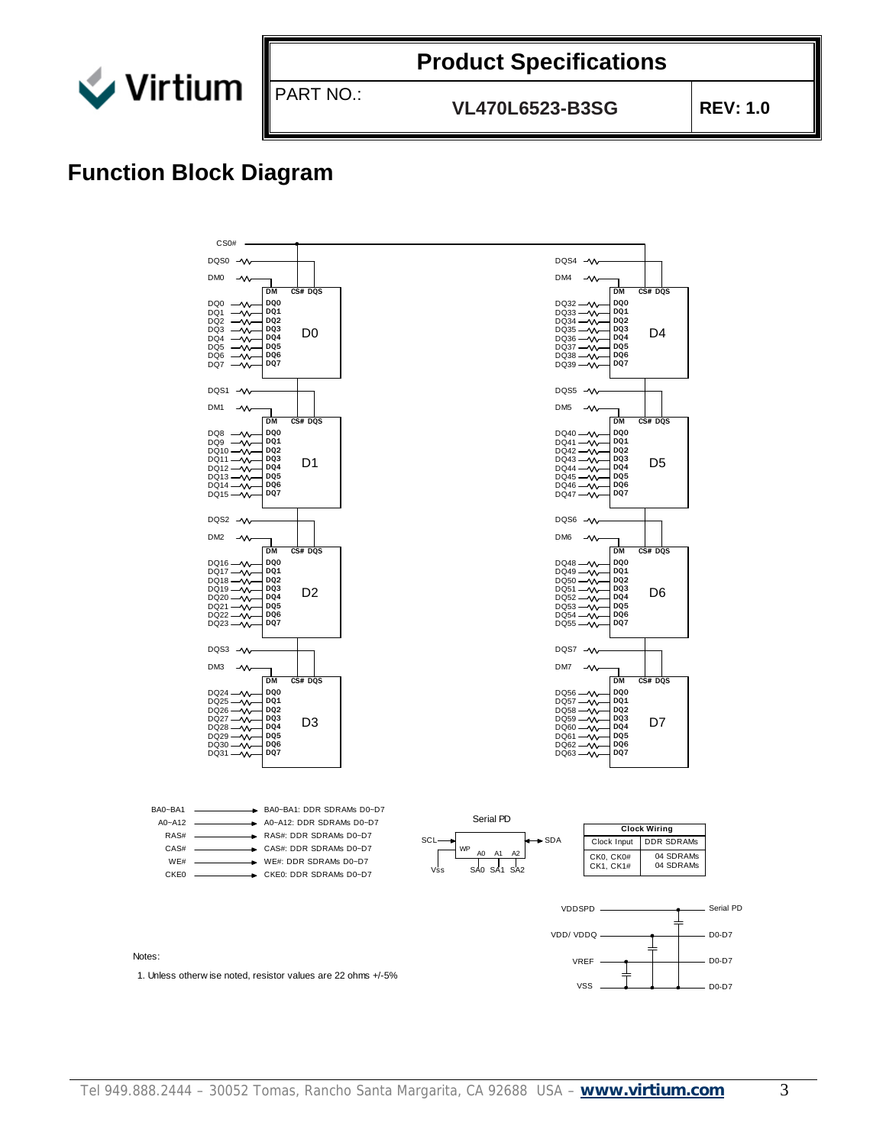

**VL470L6523-B3SG REV: 1.0**

## **Function Block Diagram**

PART NO.:

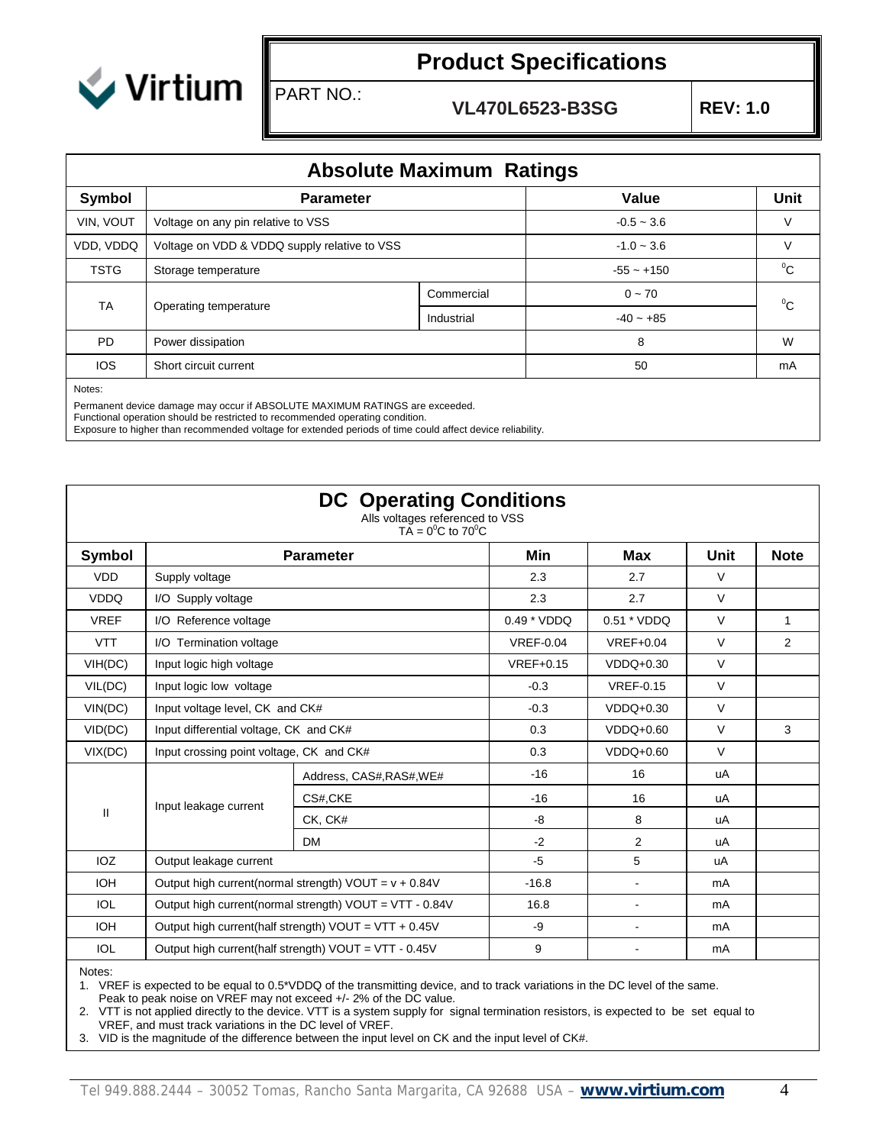

PART NO.:

**VL470L6523-B3SG REV: 1.0**

| <b>Absolute Maximum Ratings</b> |                                                                        |              |              |       |  |  |  |
|---------------------------------|------------------------------------------------------------------------|--------------|--------------|-------|--|--|--|
| Symbol                          | <b>Parameter</b>                                                       |              |              |       |  |  |  |
| VIN, VOUT                       | Voltage on any pin relative to VSS                                     | $-0.5 - 3.6$ | V            |       |  |  |  |
| VDD, VDDQ                       | Voltage on VDD & VDDQ supply relative to VSS<br>$-1.0 - 3.6$<br>$\vee$ |              |              |       |  |  |  |
| <b>TSTG</b>                     | Storage temperature                                                    |              | $-55 - +150$ | $^0C$ |  |  |  |
| TA                              |                                                                        | Commercial   | $0 - 70$     | $^0C$ |  |  |  |
|                                 | Operating temperature                                                  | Industrial   | $-40 - +85$  |       |  |  |  |
| PD.                             | Power dissipation                                                      |              | 8            | W     |  |  |  |
| <b>IOS</b>                      | 50<br>Short circuit current<br>mA                                      |              |              |       |  |  |  |
| Notes:                          |                                                                        |              |              |       |  |  |  |

Permanent device damage may occur if ABSOLUTE MAXIMUM RATINGS are exceeded.

Functional operation should be restricted to recommended operating condition.

Exposure to higher than recommended voltage for extended periods of time could affect device reliability.

|             | <b>DC</b> Operating Conditions<br>Alls voltages referenced to VSS<br>TA = $0^{\circ}$ C to 70 <sup>°</sup> C |                                                         |                  |                  |        |                |  |  |  |  |  |
|-------------|--------------------------------------------------------------------------------------------------------------|---------------------------------------------------------|------------------|------------------|--------|----------------|--|--|--|--|--|
| Symbol      |                                                                                                              | <b>Parameter</b>                                        | Min              | Max              | Unit   | <b>Note</b>    |  |  |  |  |  |
| <b>VDD</b>  | Supply voltage                                                                                               |                                                         | 2.3              | 2.7              | $\vee$ |                |  |  |  |  |  |
| <b>VDDQ</b> | I/O Supply voltage                                                                                           |                                                         | 2.3              | 2.7              | $\vee$ |                |  |  |  |  |  |
| <b>VREF</b> | I/O Reference voltage                                                                                        |                                                         | $0.49 * VDDQ$    | 0.51 * VDDQ      | $\vee$ | $\mathbf{1}$   |  |  |  |  |  |
| <b>VTT</b>  | I/O Termination voltage                                                                                      |                                                         | <b>VREF-0.04</b> | $VREF+0.04$      | $\vee$ | $\overline{2}$ |  |  |  |  |  |
| VIH(DC)     | Input logic high voltage                                                                                     |                                                         | $VREF+0.15$      | $VDDQ+0.30$      | $\vee$ |                |  |  |  |  |  |
| VIL(DC)     | Input logic low voltage                                                                                      |                                                         | $-0.3$           | <b>VREF-0.15</b> | $\vee$ |                |  |  |  |  |  |
| VIN(DC)     | Input voltage level, CK and CK#                                                                              |                                                         | $-0.3$           | $VDDQ+0.30$      | $\vee$ |                |  |  |  |  |  |
| VID(DC)     | Input differential voltage, CK and CK#                                                                       |                                                         | 0.3              | $VDDQ+0.60$      | $\vee$ | 3              |  |  |  |  |  |
| VIX(DC)     | Input crossing point voltage, CK and CK#                                                                     |                                                         | 0.3              | $VDDQ+0.60$      | $\vee$ |                |  |  |  |  |  |
|             | Input leakage current                                                                                        | Address, CAS#, RAS#, WE#                                | $-16$            | 16               | uA     |                |  |  |  |  |  |
|             |                                                                                                              | CS#,CKE                                                 | $-16$            | 16               | uA     |                |  |  |  |  |  |
| Ш           |                                                                                                              | CK, CK#                                                 | -8               | 8                | uA     |                |  |  |  |  |  |
|             |                                                                                                              | <b>DM</b>                                               | $-2$             | 2                | uA     |                |  |  |  |  |  |
| IOZ         | Output leakage current                                                                                       |                                                         | $-5$             | 5                | uA     |                |  |  |  |  |  |
| <b>IOH</b>  |                                                                                                              | Output high current(normal strength) $VOUT = v + 0.84V$ | $-16.8$          | $\blacksquare$   | mA     |                |  |  |  |  |  |
| <b>IOL</b>  |                                                                                                              | Output high current(normal strength) VOUT = VTT - 0.84V | 16.8             | $\sim$           | mA     |                |  |  |  |  |  |
| <b>IOH</b>  |                                                                                                              | Output high current(half strength) $VOUT = VTT + 0.45V$ | -9               | $\sim$           | mA     |                |  |  |  |  |  |
| <b>IOL</b>  |                                                                                                              | Output high current(half strength) VOUT = VTT - 0.45V   | 9                |                  | mA     |                |  |  |  |  |  |

Notes:

1. VREF is expected to be equal to 0.5\*VDDQ of the transmitting device, and to track variations in the DC level of the same.

Peak to peak noise on VREF may not exceed +/- 2% of the DC value.

2. VTT is not applied directly to the device. VTT is a system supply for signal termination resistors, is expected to be set equal to

VREF, and must track variations in the DC level of VREF.

3. VID is the magnitude of the difference between the input level on CK and the input level of CK#.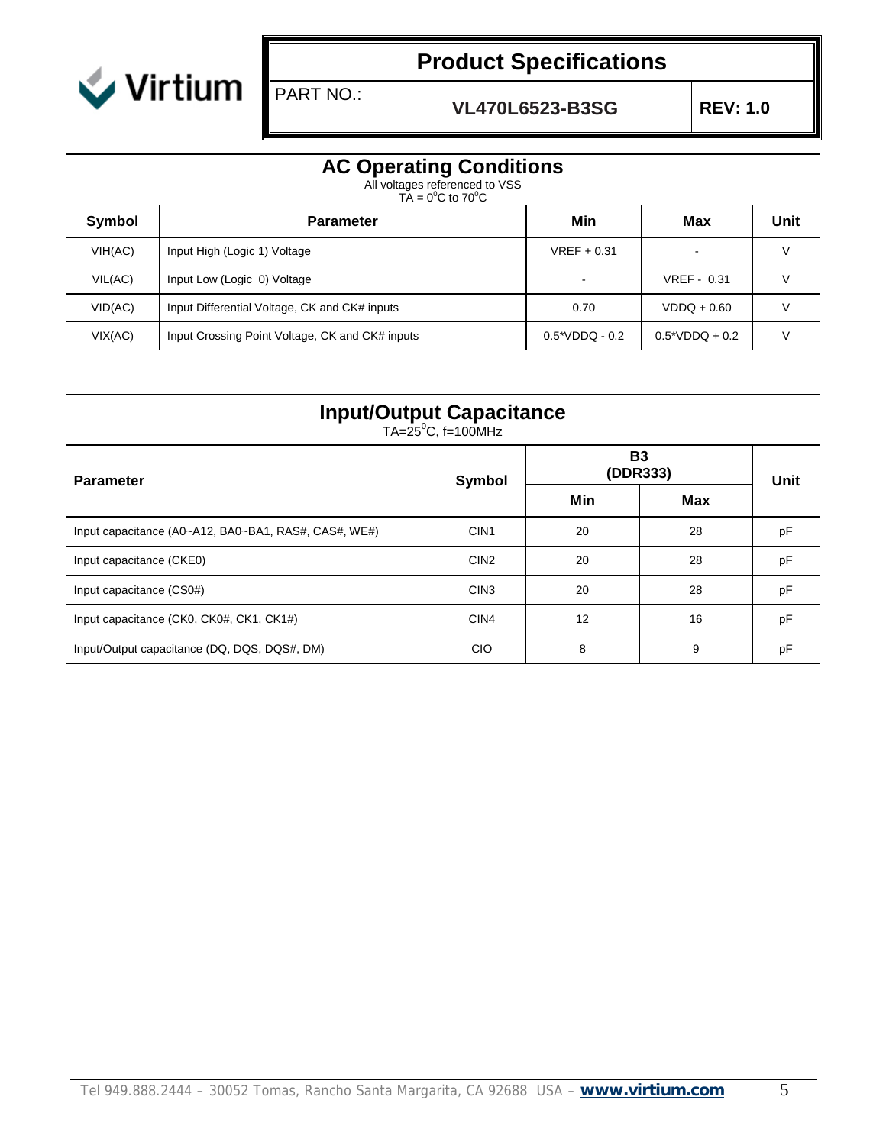

PART NO.:

# **Product Specifications**

**VL470L6523-B3SG REV: 1.0**

|         | <b>AC Operating Conditions</b><br>All voltages referenced to VSS<br>$T\text{A} = 0^0\text{C}$ to $70^0\text{C}$ |                  |                         |      |  |  |  |  |  |  |
|---------|-----------------------------------------------------------------------------------------------------------------|------------------|-------------------------|------|--|--|--|--|--|--|
| Symbol  | <b>Parameter</b>                                                                                                | Min              | Max                     | Unit |  |  |  |  |  |  |
| VIH(AC) | Input High (Logic 1) Voltage                                                                                    | $VREF + 0.31$    |                         | v    |  |  |  |  |  |  |
| VIL(AC) | Input Low (Logic 0) Voltage                                                                                     |                  | VREF - 0.31             |      |  |  |  |  |  |  |
| VID(AC) | Input Differential Voltage, CK and CK# inputs                                                                   | 0.70             | $VDDQ + 0.60$           |      |  |  |  |  |  |  |
| VIX(AC) | Input Crossing Point Voltage, CK and CK# inputs                                                                 | $0.5*VDDQ - 0.2$ | $0.5^{\ast}$ VDDQ + 0.2 |      |  |  |  |  |  |  |

| <b>Input/Output Capacitance</b><br>TA=25 <sup>°</sup> C, f=100MHz |                  |                       |      |    |  |  |  |  |
|-------------------------------------------------------------------|------------------|-----------------------|------|----|--|--|--|--|
| <b>Parameter</b>                                                  | Symbol           | <b>B3</b><br>(DDR333) | Unit |    |  |  |  |  |
|                                                                   |                  | Min                   | Max  |    |  |  |  |  |
| Input capacitance (A0~A12, BA0~BA1, RAS#, CAS#, WE#)              | CIN <sub>1</sub> | 20                    | 28   | pF |  |  |  |  |
| Input capacitance (CKE0)                                          | CIN <sub>2</sub> | 20                    | 28   | pF |  |  |  |  |
| Input capacitance (CS0#)                                          | CIN <sub>3</sub> | 20                    | 28   | pF |  |  |  |  |
| Input capacitance (CK0, CK0#, CK1, CK1#)                          | CIN <sub>4</sub> | 12                    | 16   | pF |  |  |  |  |
| Input/Output capacitance (DQ, DQS, DQS#, DM)                      | <b>CIO</b>       | 8                     | 9    | pF |  |  |  |  |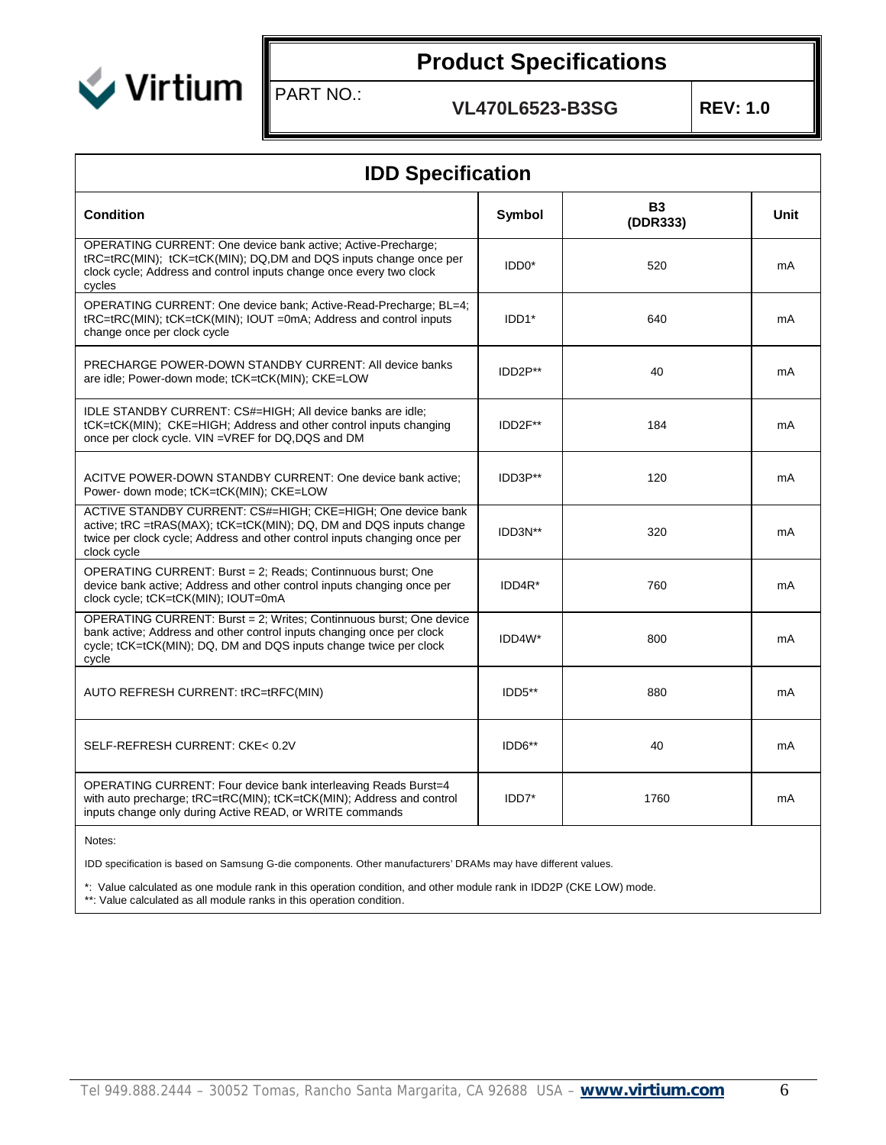

PART NO.:

**VL470L6523-B3SG REV: 1.0**

| <b>IDD Specification</b>                                                                                                                                                                                                      |                    |                       |      |  |  |  |  |
|-------------------------------------------------------------------------------------------------------------------------------------------------------------------------------------------------------------------------------|--------------------|-----------------------|------|--|--|--|--|
| <b>Condition</b>                                                                                                                                                                                                              | Symbol             | <b>B3</b><br>(DDR333) | Unit |  |  |  |  |
| OPERATING CURRENT: One device bank active; Active-Precharge;<br>tRC=tRC(MIN); tCK=tCK(MIN); DQ,DM and DQS inputs change once per<br>clock cycle; Address and control inputs change once every two clock<br>cycles             | IDD <sub>0</sub> * | 520                   | mA   |  |  |  |  |
| OPERATING CURRENT: One device bank; Active-Read-Precharge; BL=4;<br>tRC=tRC(MIN); tCK=tCK(MIN); IOUT =0mA; Address and control inputs<br>change once per clock cycle                                                          | IDD1*              | 640                   | mA   |  |  |  |  |
| PRECHARGE POWER-DOWN STANDBY CURRENT: All device banks<br>are idle; Power-down mode; tCK=tCK(MIN); CKE=LOW                                                                                                                    | IDD2P**            | 40                    | mA   |  |  |  |  |
| IDLE STANDBY CURRENT: CS#=HIGH; All device banks are idle;<br>tCK=tCK(MIN); CKE=HIGH; Address and other control inputs changing<br>once per clock cycle. VIN =VREF for DQ, DQS and DM                                         | IDD2F**            | 184                   | mA   |  |  |  |  |
| ACITVE POWER-DOWN STANDBY CURRENT: One device bank active;<br>Power- down mode; tCK=tCK(MIN); CKE=LOW                                                                                                                         | IDD3P**            | 120                   | mA   |  |  |  |  |
| ACTIVE STANDBY CURRENT: CS#=HIGH; CKE=HIGH; One device bank<br>active; tRC =tRAS(MAX); tCK=tCK(MIN); DQ, DM and DQS inputs change<br>twice per clock cycle; Address and other control inputs changing once per<br>clock cycle | IDD3N**            | 320                   | mA   |  |  |  |  |
| OPERATING CURRENT: Burst = 2; Reads; Continnuous burst; One<br>device bank active; Address and other control inputs changing once per<br>clock cycle; tCK=tCK(MIN); IOUT=0mA                                                  | IDD4R*             | 760                   | mA   |  |  |  |  |
| OPERATING CURRENT: Burst = 2; Writes; Continnuous burst; One device<br>bank active; Address and other control inputs changing once per clock<br>cycle; tCK=tCK(MIN); DQ, DM and DQS inputs change twice per clock<br>cycle    | IDD4W*             | 800                   | mA   |  |  |  |  |
| AUTO REFRESH CURRENT: tRC=tRFC(MIN)                                                                                                                                                                                           | IDD5**             | 880                   | mA   |  |  |  |  |
| SELF-REFRESH CURRENT: CKE< 0.2V                                                                                                                                                                                               | IDD6**             | 40                    | mA   |  |  |  |  |
| OPERATING CURRENT: Four device bank interleaving Reads Burst=4<br>with auto precharge; tRC=tRC(MIN); tCK=tCK(MIN); Address and control<br>inputs change only during Active READ, or WRITE commands                            | IDD7*              | 1760                  | mA   |  |  |  |  |

Notes:

IDD specification is based on Samsung G-die components. Other manufacturers' DRAMs may have different values.

\*: Value calculated as one module rank in this operation condition, and other module rank in IDD2P (CKE LOW) mode. \*\*: Value calculated as all module ranks in this operation condition.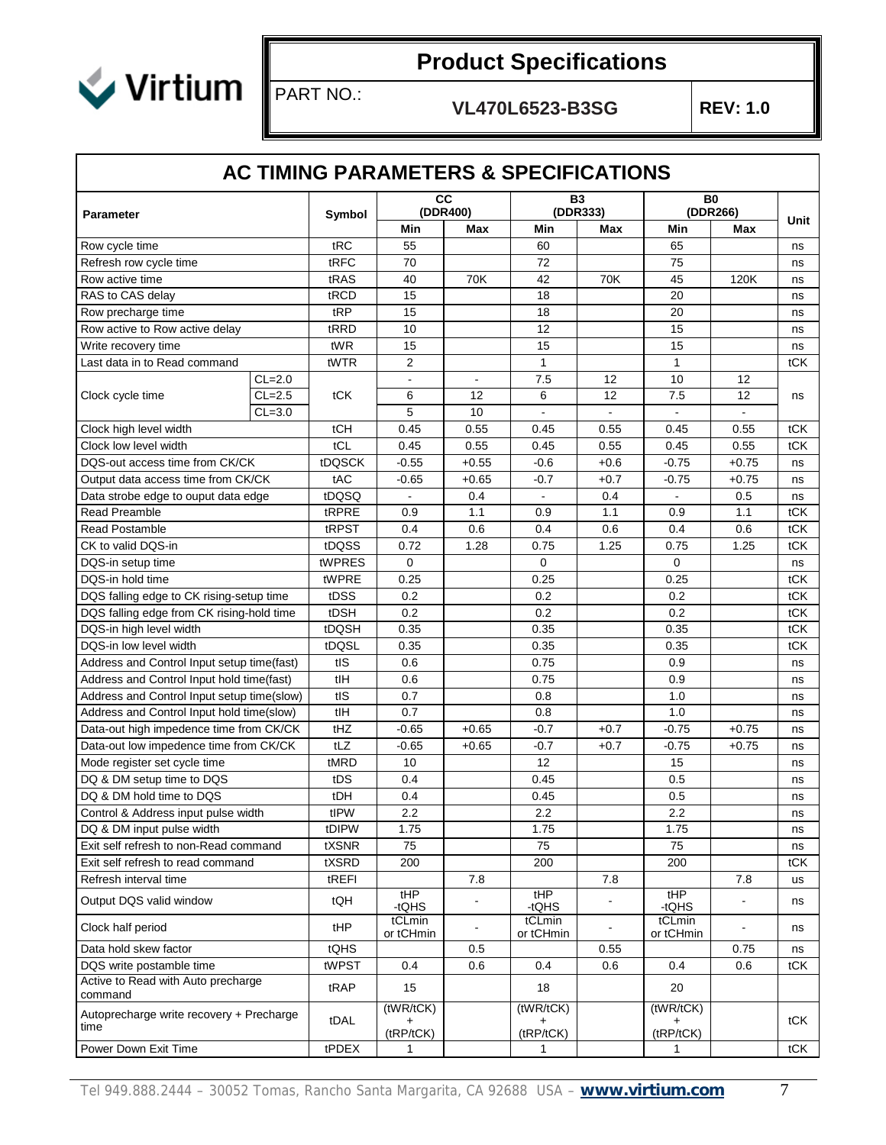

## PART NO.:

**VL470L6523-B3SG REV: 1.0**

#### **AC TIMING PARAMETERS & SPECIFICATIONS**

| <b>Parameter</b>                                 |          | Symbol          | <b>CC</b>           | (DDR400)       | <b>B3</b><br>(DDR333) |                | B <sub>0</sub><br>(DDR266) |                |      |
|--------------------------------------------------|----------|-----------------|---------------------|----------------|-----------------------|----------------|----------------------------|----------------|------|
|                                                  |          |                 | Min                 | Max            | Min                   | <b>Max</b>     | Min                        | Max            | Unit |
| Row cycle time                                   |          | tRC             | 55                  |                | 60                    |                | 65                         |                | ns   |
| Refresh row cycle time                           |          | tRFC            | 70                  |                | 72                    |                | 75                         |                | ns   |
| Row active time                                  |          | tRAS            | 40                  | 70K            | 42                    | 70K            | 45                         | 120K           | ns   |
| RAS to CAS delay                                 |          | tRCD            | 15                  |                | 18                    |                | 20                         |                | ns   |
| Row precharge time                               |          | tRP             | 15                  |                | 18                    |                | 20                         |                | ns   |
| Row active to Row active delay                   |          | tRRD            | 10                  |                | 12                    |                | 15                         |                | ns   |
| Write recovery time                              |          | tWR             | 15                  |                | 15                    |                | 15                         |                | ns   |
| Last data in to Read command                     |          | tWTR            | $\overline{2}$      |                | 1                     |                | $\mathbf{1}$               |                | tCK  |
|                                                  | $CL=2.0$ |                 | $\blacksquare$      | $\blacksquare$ | 7.5                   | 12             | 10                         | 12             |      |
| Clock cycle time                                 | $CL=2.5$ | tCK             | 6                   | 12             | 6                     | 12             | 7.5                        | 12             | ns   |
|                                                  | $CL=3.0$ |                 | 5                   | 10             | $\overline{a}$        |                |                            | $\blacksquare$ |      |
| Clock high level width                           |          | tCH             | 0.45                | 0.55           | 0.45                  | 0.55           | 0.45                       | 0.55           | tCK  |
| Clock low level width                            |          | tCL             | 0.45                | 0.55           | 0.45                  | 0.55           | 0.45                       | 0.55           | tCK  |
| DQS-out access time from CK/CK                   |          | tDQSCK          | $-0.55$             | $+0.55$        | $-0.6$                | $+0.6$         | $-0.75$                    | $+0.75$        | ns   |
| Output data access time from CK/CK               |          | tAC             | $-0.65$             | $+0.65$        | $-0.7$                | $+0.7$         | $-0.75$                    | $+0.75$        | ns   |
| Data strobe edge to ouput data edge              |          | tDQSQ           |                     | 0.4            |                       | 0.4            |                            | 0.5            | ns   |
| <b>Read Preamble</b>                             |          | tRPRE           | 0.9                 | 1.1            | 0.9                   | 1.1            | 0.9                        | 1.1            | tCK  |
| <b>Read Postamble</b>                            |          | tRPST           | 0.4                 | 0.6            | 0.4                   | 0.6            | 0.4                        | 0.6            | tCK  |
| CK to valid DQS-in                               |          | tDQSS           | 0.72                | 1.28           | 0.75                  | 1.25           | 0.75                       | 1.25           | tCK  |
| DQS-in setup time                                |          | tWPRES          | $\mathbf 0$         |                | 0                     |                | 0                          |                | ns   |
| DQS-in hold time                                 |          | tWPRE           | 0.25                |                | 0.25                  |                | 0.25                       |                | tCK  |
| DQS falling edge to CK rising-setup time         |          | tDSS            | 0.2                 |                | 0.2                   |                | 0.2                        |                | tCK  |
| DQS falling edge from CK rising-hold time        |          | tDSH            | 0.2                 |                | 0.2                   |                | 0.2                        |                | tCK  |
| DQS-in high level width                          |          | tDQSH           | 0.35                |                | 0.35                  |                | 0.35                       |                | tCK  |
| DQS-in low level width                           |          | tDQSL           | 0.35                |                | 0.35                  |                | 0.35                       |                | tCK  |
| Address and Control Input setup time(fast)       |          | tIS             | 0.6                 |                | 0.75                  |                | 0.9                        |                | ns   |
| Address and Control Input hold time(fast)        |          | tlH             | 0.6                 |                | 0.75                  |                | 0.9                        |                | ns   |
| Address and Control Input setup time(slow)       |          | $t\overline{S}$ | 0.7                 |                | 0.8                   |                | 1.0                        |                | ns   |
| Address and Control Input hold time(slow)        |          | tlH             | 0.7                 |                | 0.8                   |                | 1.0                        |                | ns   |
| Data-out high impedence time from CK/CK          |          | tHZ             | $-0.65$             | $+0.65$        | $-0.7$                | $+0.7$         | $-0.75$                    | $+0.75$        | ns   |
| Data-out low impedence time from CK/CK           |          | tLZ             | $-0.65$             | $+0.65$        | $-0.7$                | $+0.7$         | $-0.75$                    | $+0.75$        | ns   |
| Mode register set cycle time                     |          | tMRD            | 10                  |                | 12                    |                | 15                         |                | ns   |
| DQ & DM setup time to DQS                        |          | tDS             | 0.4                 |                | 0.45                  |                | 0.5                        |                | ns   |
| DQ & DM hold time to DQS                         |          | tDH             | 0.4                 |                | 0.45                  |                | 0.5                        |                | ns   |
| Control & Address input pulse width              |          | tIPW            | 2.2                 |                | 2.2                   |                | 2.2                        |                | ns   |
| DQ & DM input pulse width                        |          | tDIPW           | 1.75                |                | 1.75                  |                | 1.75                       |                | ns   |
| Exit self refresh to non-Read command            |          | tXSNR           | 75                  |                | 75                    |                | 75                         |                | ns   |
| Exit self refresh to read command                |          | tXSRD           | 200                 |                | 200                   |                | 200                        |                | tCK  |
| Refresh interval time                            |          | tREFI           |                     | 7.8            |                       | 7.8            |                            | 7.8            | us   |
| Output DQS valid window                          |          | tQH             | tHP<br>-tQHS        |                | tHP<br>-tQHS          |                | tHP<br>-tQHS               |                | ns   |
| Clock half period                                |          | tHP             | tCLmin<br>or tCHmin | $\blacksquare$ | tCLmin<br>or tCHmin   | $\blacksquare$ | tCLmin<br>or tCHmin        | $\blacksquare$ | ns   |
| Data hold skew factor                            |          | tQHS            |                     | 0.5            |                       | 0.55           |                            | 0.75           | ns   |
| DQS write postamble time                         |          | tWPST           | 0.4                 | 0.6            | 0.4                   | 0.6            | 0.4                        | 0.6            | tCK  |
| Active to Read with Auto precharge<br>command    |          | tRAP            | 15                  |                | 18                    |                | 20                         |                |      |
| Autoprecharge write recovery + Precharge<br>time |          | tDAL            | (tWR/tCK)           |                | (tWR/tCK)             |                | (tWR/tCK)                  |                | tCK  |
| Power Down Exit Time                             |          |                 | (tRP/tCK)           |                | (tRP/tCK)             |                | (tRP/tCK)                  |                |      |
|                                                  |          | tPDEX           | 1                   |                | 1                     |                | $\mathbf 1$                |                | tCK  |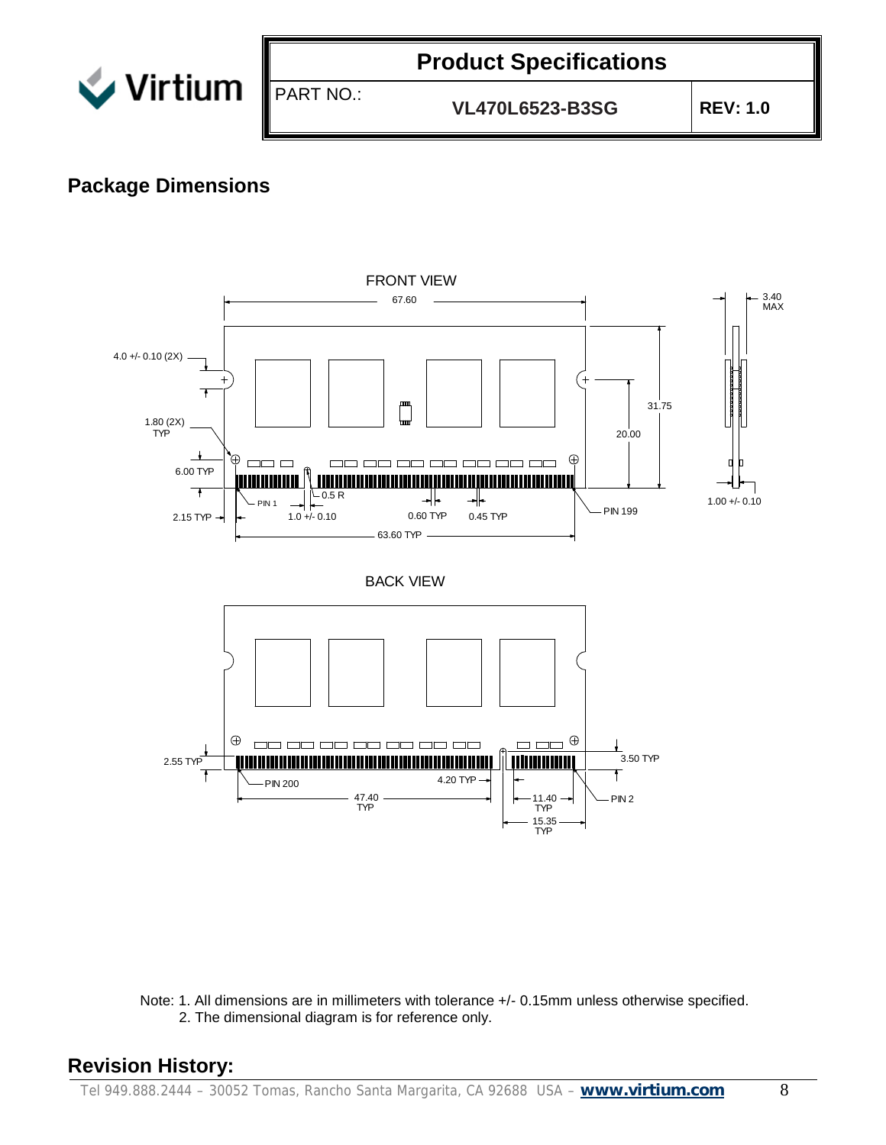

PART NO.:

### **Product Specifications**

**VL470L6523-B3SG REV: 1.0**

#### **Package Dimensions**



Note: 1. All dimensions are in millimeters with tolerance +/- 0.15mm unless otherwise specified. 2. The dimensional diagram is for reference only.